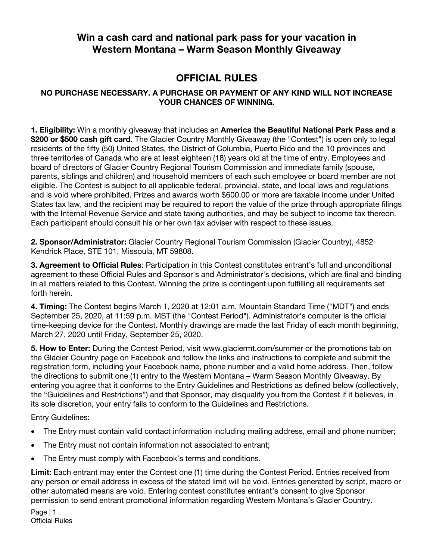## **Win a cash card and national park pass for your vacation in Western Montana – Warm Season Monthly Giveaway**

## **OFFICIAL RULES**

## **NO PURCHASE NECESSARY. A PURCHASE OR PAYMENT OF ANY KIND WILL NOT INCREASE YOUR CHANCES OF WINNING.**

**1. Eligibility:** Win a monthly giveaway that includes an **America the Beautiful National Park Pass and a \$200 or \$500 cash gift card**. The Glacier Country Monthly Giveaway (the "Contest") is open only to legal residents of the fifty (50) United States, the District of Columbia, Puerto Rico and the 10 provinces and three territories of Canada who are at least eighteen (18) years old at the time of entry. Employees and board of directors of Glacier Country Regional Tourism Commission and immediate family (spouse, parents, siblings and children) and household members of each such employee or board member are not eligible. The Contest is subject to all applicable federal, provincial, state, and local laws and regulations and is void where prohibited. Prizes and awards worth \$600.00 or more are taxable income under United States tax law, and the recipient may be required to report the value of the prize through appropriate filings with the Internal Revenue Service and state taxing authorities, and may be subject to income tax thereon. Each participant should consult his or her own tax adviser with respect to these issues.

**2. Sponsor/Administrator:** Glacier Country Regional Tourism Commission (Glacier Country), 4852 Kendrick Place, STE 101, Missoula, MT 59808.

**3. Agreement to Official Rules**: Participation in this Contest constitutes entrant's full and unconditional agreement to these Official Rules and Sponsor's and Administrator's decisions, which are final and binding in all matters related to this Contest. Winning the prize is contingent upon fulfilling all requirements set forth herein.

**4. Timing:** The Contest begins March 1, 2020 at 12:01 a.m. Mountain Standard Time ("MDT") and ends September 25, 2020, at 11:59 p.m. MST (the "Contest Period"). Administrator's computer is the official time-keeping device for the Contest. Monthly drawings are made the last Friday of each month beginning, March 27, 2020 until Friday, September 25, 2020.

**5. How to Enter:** During the Contest Period, visit www.glaciermt.com/summer or the promotions tab on the Glacier Country page on Facebook and follow the links and instructions to complete and submit the registration form, including your Facebook name, phone number and a valid home address. Then, follow the directions to submit one (1) entry to the Western Montana – Warm Season Monthly Giveaway. By entering you agree that it conforms to the Entry Guidelines and Restrictions as defined below (collectively, the "Guidelines and Restrictions") and that Sponsor, may disqualify you from the Contest if it believes, in its sole discretion, your entry fails to conform to the Guidelines and Restrictions.

Entry Guidelines:

- The Entry must contain valid contact information including mailing address, email and phone number;
- The Entry must not contain information not associated to entrant;
- The Entry must comply with Facebook's terms and conditions.

**Limit:** Each entrant may enter the Contest one (1) time during the Contest Period. Entries received from any person or email address in excess of the stated limit will be void. Entries generated by script, macro or other automated means are void. Entering contest constitutes entrant's consent to give Sponsor permission to send entrant promotional information regarding Western Montana's Glacier Country.

Page | 1 Official Rules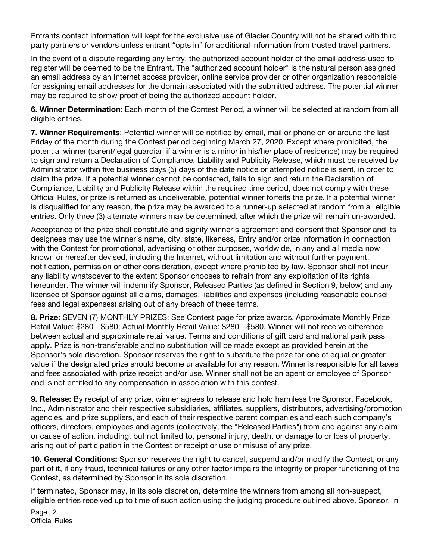Entrants contact information will kept for the exclusive use of Glacier Country will not be shared with third party partners or vendors unless entrant "opts in" for additional information from trusted travel partners.

In the event of a dispute regarding any Entry, the authorized account holder of the email address used to register will be deemed to be the Entrant. The "authorized account holder" is the natural person assigned an email address by an Internet access provider, online service provider or other organization responsible for assigning email addresses for the domain associated with the submitted address. The potential winner may be required to show proof of being the authorized account holder.

**6. Winner Determination:** Each month of the Contest Period, a winner will be selected at random from all eligible entries.

**7. Winner Requirements**: Potential winner will be notified by email, mail or phone on or around the last Friday of the month during the Contest period beginning March 27, 2020. Except where prohibited, the potential winner (parent/legal guardian if a winner is a minor in his/her place of residence) may be required to sign and return a Declaration of Compliance, Liability and Publicity Release, which must be received by Administrator within five business days (5) days of the date notice or attempted notice is sent, in order to claim the prize. If a potential winner cannot be contacted, fails to sign and return the Declaration of Compliance, Liability and Publicity Release within the required time period, does not comply with these Official Rules, or prize is returned as undeliverable, potential winner forfeits the prize. If a potential winner is disqualified for any reason, the prize may be awarded to a runner-up selected at random from all eligible entries. Only three (3) alternate winners may be determined, after which the prize will remain un-awarded.

Acceptance of the prize shall constitute and signify winner's agreement and consent that Sponsor and its designees may use the winner's name, city, state, likeness, Entry and/or prize information in connection with the Contest for promotional, advertising or other purposes, worldwide, in any and all media now known or hereafter devised, including the Internet, without limitation and without further payment, notification, permission or other consideration, except where prohibited by law. Sponsor shall not incur any liability whatsoever to the extent Sponsor chooses to refrain from any exploitation of its rights hereunder. The winner will indemnify Sponsor, Released Parties (as defined in Section 9, below) and any licensee of Sponsor against all claims, damages, liabilities and expenses (including reasonable counsel fees and legal expenses) arising out of any breach of these terms.

**8. Prize:** SEVEN (7) MONTHLY PRIZES: See Contest page for prize awards. Approximate Monthly Prize Retail Value: \$280 - \$580; Actual Monthly Retail Value: \$280 - \$580. Winner will not receive difference between actual and approximate retail value. Terms and conditions of gift card and national park pass apply. Prize is non-transferable and no substitution will be made except as provided herein at the Sponsor's sole discretion. Sponsor reserves the right to substitute the prize for one of equal or greater value if the designated prize should become unavailable for any reason. Winner is responsible for all taxes and fees associated with prize receipt and/or use. Winner shall not be an agent or employee of Sponsor and is not entitled to any compensation in association with this contest.

**9. Release:** By receipt of any prize, winner agrees to release and hold harmless the Sponsor, Facebook, Inc., Administrator and their respective subsidiaries, affiliates, suppliers, distributors, advertising/promotion agencies, and prize suppliers, and each of their respective parent companies and each such company's officers, directors, employees and agents (collectively, the "Released Parties") from and against any claim or cause of action, including, but not limited to, personal injury, death, or damage to or loss of property, arising out of participation in the Contest or receipt or use or misuse of any prize.

**10. General Conditions:** Sponsor reserves the right to cancel, suspend and/or modify the Contest, or any part of it, if any fraud, technical failures or any other factor impairs the integrity or proper functioning of the Contest, as determined by Sponsor in its sole discretion.

If terminated, Sponsor may, in its sole discretion, determine the winners from among all non-suspect, eligible entries received up to time of such action using the judging procedure outlined above. Sponsor, in

Page | 2 Official Rules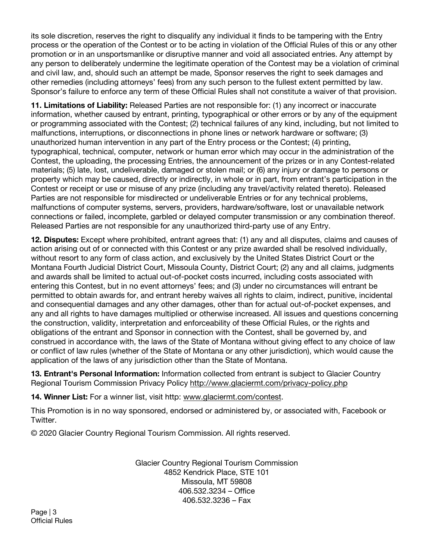its sole discretion, reserves the right to disqualify any individual it finds to be tampering with the Entry process or the operation of the Contest or to be acting in violation of the Official Rules of this or any other promotion or in an unsportsmanlike or disruptive manner and void all associated entries. Any attempt by any person to deliberately undermine the legitimate operation of the Contest may be a violation of criminal and civil law, and, should such an attempt be made, Sponsor reserves the right to seek damages and other remedies (including attorneys' fees) from any such person to the fullest extent permitted by law. Sponsor's failure to enforce any term of these Official Rules shall not constitute a waiver of that provision.

**11. Limitations of Liability:** Released Parties are not responsible for: (1) any incorrect or inaccurate information, whether caused by entrant, printing, typographical or other errors or by any of the equipment or programming associated with the Contest; (2) technical failures of any kind, including, but not limited to malfunctions, interruptions, or disconnections in phone lines or network hardware or software; (3) unauthorized human intervention in any part of the Entry process or the Contest; (4) printing, typographical, technical, computer, network or human error which may occur in the administration of the Contest, the uploading, the processing Entries, the announcement of the prizes or in any Contest-related materials; (5) late, lost, undeliverable, damaged or stolen mail; or (6) any injury or damage to persons or property which may be caused, directly or indirectly, in whole or in part, from entrant's participation in the Contest or receipt or use or misuse of any prize (including any travel/activity related thereto). Released Parties are not responsible for misdirected or undeliverable Entries or for any technical problems, malfunctions of computer systems, servers, providers, hardware/software, lost or unavailable network connections or failed, incomplete, garbled or delayed computer transmission or any combination thereof. Released Parties are not responsible for any unauthorized third-party use of any Entry.

**12. Disputes:** Except where prohibited, entrant agrees that: (1) any and all disputes, claims and causes of action arising out of or connected with this Contest or any prize awarded shall be resolved individually, without resort to any form of class action, and exclusively by the United States District Court or the Montana Fourth Judicial District Court, Missoula County, District Court; (2) any and all claims, judgments and awards shall be limited to actual out-of-pocket costs incurred, including costs associated with entering this Contest, but in no event attorneys' fees; and (3) under no circumstances will entrant be permitted to obtain awards for, and entrant hereby waives all rights to claim, indirect, punitive, incidental and consequential damages and any other damages, other than for actual out-of-pocket expenses, and any and all rights to have damages multiplied or otherwise increased. All issues and questions concerning the construction, validity, interpretation and enforceability of these Official Rules, or the rights and obligations of the entrant and Sponsor in connection with the Contest, shall be governed by, and construed in accordance with, the laws of the State of Montana without giving effect to any choice of law or conflict of law rules (whether of the State of Montana or any other jurisdiction), which would cause the application of the laws of any jurisdiction other than the State of Montana.

**13. Entrant's Personal Information:** Information collected from entrant is subject to Glacier Country Regional Tourism Commission Privacy Policy http://www.glaciermt.com/privacy-policy.php

**14. Winner List:** For a winner list, visit http: www.glaciermt.com/contest.

This Promotion is in no way sponsored, endorsed or administered by, or associated with, Facebook or Twitter.

© 2020 Glacier Country Regional Tourism Commission. All rights reserved.

Glacier Country Regional Tourism Commission 4852 Kendrick Place, STE 101 Missoula, MT 59808 406.532.3234 – Office 406.532.3236 – Fax